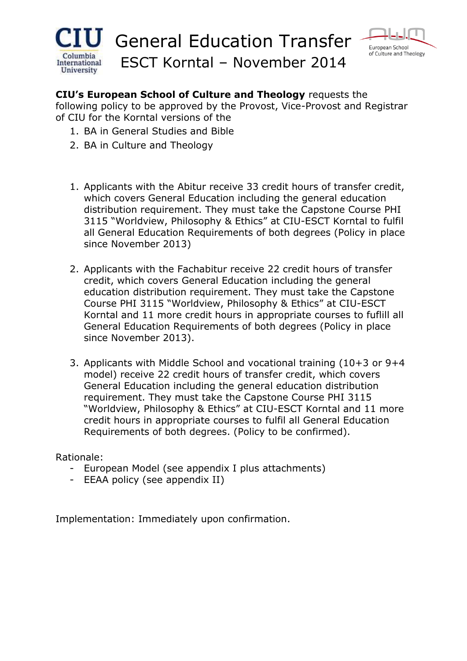



**CIU's European School of Culture and Theology** requests the

following policy to be approved by the Provost, Vice-Provost and Registrar of CIU for the Korntal versions of the

- 1. BA in General Studies and Bible
- 2. BA in Culture and Theology
- 1. Applicants with the Abitur receive 33 credit hours of transfer credit, which covers General Education including the general education distribution requirement. They must take the Capstone Course PHI 3115 "Worldview, Philosophy & Ethics" at CIU-ESCT Korntal to fulfil all General Education Requirements of both degrees (Policy in place since November 2013)
- 2. Applicants with the Fachabitur receive 22 credit hours of transfer credit, which covers General Education including the general education distribution requirement. They must take the Capstone Course PHI 3115 "Worldview, Philosophy & Ethics" at CIU-ESCT Korntal and 11 more credit hours in appropriate courses to fuflill all General Education Requirements of both degrees (Policy in place since November 2013).
- 3. Applicants with Middle School and vocational training (10+3 or 9+4 model) receive 22 credit hours of transfer credit, which covers General Education including the general education distribution requirement. They must take the Capstone Course PHI 3115 "Worldview, Philosophy & Ethics" at CIU-ESCT Korntal and 11 more credit hours in appropriate courses to fulfil all General Education Requirements of both degrees. (Policy to be confirmed).

Rationale:

- European Model (see appendix I plus attachments)
- EEAA policy (see appendix II)

Implementation: Immediately upon confirmation.